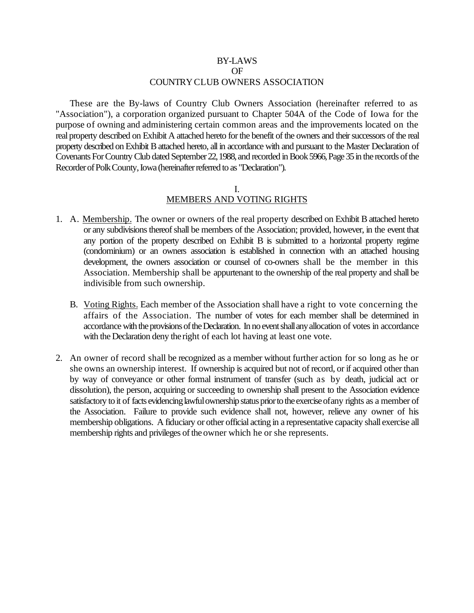### BY-LAWS OF COUNTRY CLUB OWNERS ASSOCIATION

These are the By-laws of Country Club Owners Association (hereinafter referred to as "Association"), a corporation organized pursuant to Chapter 504A of the Code of Iowa for the purpose of owning and administering certain common areas and the improvements located on the real property described on Exhibit A attached hereto for the benefit of the owners and their successors of the real property described on Exhibit B attached hereto, all in accordance with and pursuant to the Master Declaration of Covenants For Country Club dated September 22, 1988, and recorded in Book 5966, Page 35 in the records of the Recorder of Polk County, Iowa (hereinafter referred to as "Declaration").

### I. MEMBERS AND VOTING RIGHTS

- 1. A. Membership. The owner or owners of the real property described on Exhibit B attached hereto or any subdivisions thereof shall be members of the Association; provided, however, in the event that any portion of the property described on Exhibit B is submitted to a horizontal property regime (condominium) or an owners association is established in connection with an attached housing development, the owners association or counsel of co-owners shall be the member in this Association. Membership shall be appurtenant to the ownership of the real property and shall be indivisible from such ownership.
	- B. Voting Rights. Each member of the Association shall have a right to vote concerning the affairs of the Association. The number of votes for each member shall be determined in accordance with the provisions of the Declaration. In no event shall any allocation of votes in accordance with the Declaration deny the right of each lot having at least one vote.
- 2. An owner of record shall be recognized as a member without further action for so long as he or she owns an ownership interest. If ownership is acquired but not of record, or if acquired other than by way of conveyance or other formal instrument of transfer (such as by death, judicial act or dissolution), the person, acquiring or succeeding to ownership shall present to the Association evidence satisfactory to it of facts evidencing lawful ownership status prior to the exercise of any rights as a member of the Association. Failure to provide such evidence shall not, however, relieve any owner of his membership obligations. A fiduciary or other official acting in a representative capacity shall exercise all membership rights and privileges of the owner which he or she represents.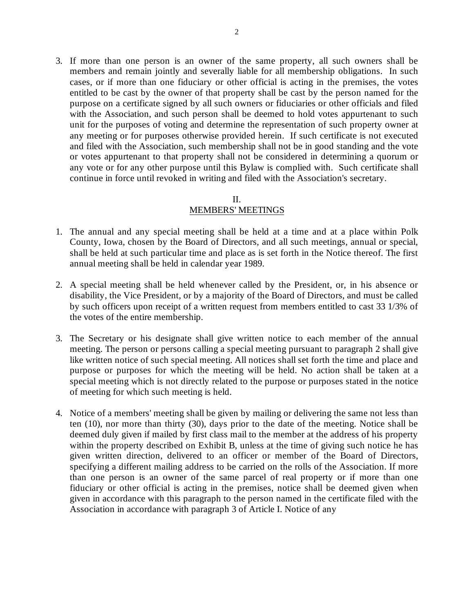3. If more than one person is an owner of the same property, all such owners shall be members and remain jointly and severally liable for all membership obligations. In such cases, or if more than one fiduciary or other official is acting in the premises, the votes entitled to be cast by the owner of that property shall be cast by the person named for the purpose on a certificate signed by all such owners or fiduciaries or other officials and filed with the Association, and such person shall be deemed to hold votes appurtenant to such unit for the purposes of voting and determine the representation of such property owner at any meeting or for purposes otherwise provided herein. If such certificate is not executed and filed with the Association, such membership shall not be in good standing and the vote or votes appurtenant to that property shall not be considered in determining a quorum or any vote or for any other purpose until this Bylaw is complied with. Such certificate shall continue in force until revoked in writing and filed with the Association's secretary.

### II.

### MEMBERS' MEETINGS

- 1. The annual and any special meeting shall be held at a time and at a place within Polk County, Iowa, chosen by the Board of Directors, and all such meetings, annual or special, shall be held at such particular time and place as is set forth in the Notice thereof. The first annual meeting shall be held in calendar year 1989.
- 2. A special meeting shall be held whenever called by the President, or, in his absence or disability, the Vice President, or by a majority of the Board of Directors, and must be called by such officers upon receipt of a written request from members entitled to cast 33 1/3% of the votes of the entire membership.
- 3. The Secretary or his designate shall give written notice to each member of the annual meeting. The person or persons calling a special meeting pursuant to paragraph 2 shall give like written notice of such special meeting. All notices shall set forth the time and place and purpose or purposes for which the meeting will be held. No action shall be taken at a special meeting which is not directly related to the purpose or purposes stated in the notice of meeting for which such meeting is held.
- 4. Notice of a members' meeting shall be given by mailing or delivering the same not less than ten (10), nor more than thirty (30), days prior to the date of the meeting. Notice shall be deemed duly given if mailed by first class mail to the member at the address of his property within the property described on Exhibit B, unless at the time of giving such notice he has given written direction, delivered to an officer or member of the Board of Directors, specifying a different mailing address to be carried on the rolls of the Association. If more than one person is an owner of the same parcel of real property or if more than one fiduciary or other official is acting in the premises, notice shall be deemed given when given in accordance with this paragraph to the person named in the certificate filed with the Association in accordance with paragraph 3 of Article I. Notice of any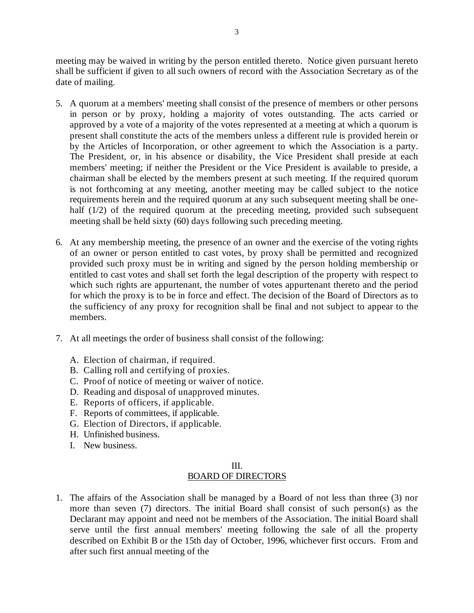meeting may be waived in writing by the person entitled thereto. Notice given pursuant hereto shall be sufficient if given to all such owners of record with the Association Secretary as of the date of mailing.

- 5. A quorum at a members' meeting shall consist of the presence of members or other persons in person or by proxy, holding a majority of votes outstanding. The acts carried or approved by a vote of a majority of the votes represented at a meeting at which a quorum is present shall constitute the acts of the members unless a different rule is provided herein or by the Articles of Incorporation, or other agreement to which the Association is a party. The President, or, in his absence or disability, the Vice President shall preside at each members' meeting; if neither the President or the Vice President is available to preside, a chairman shall be elected by the members present at such meeting. If the required quorum is not forthcoming at any meeting, another meeting may be called subject to the notice requirements herein and the required quorum at any such subsequent meeting shall be onehalf (1/2) of the required quorum at the preceding meeting, provided such subsequent meeting shall be held sixty (60) days following such preceding meeting.
- 6. At any membership meeting, the presence of an owner and the exercise of the voting rights of an owner or person entitled to cast votes, by proxy shall be permitted and recognized provided such proxy must be in writing and signed by the person holding membership or entitled to cast votes and shall set forth the legal description of the property with respect to which such rights are appurtenant, the number of votes appurtenant thereto and the period for which the proxy is to be in force and effect. The decision of the Board of Directors as to the sufficiency of any proxy for recognition shall be final and not subject to appear to the members.
- 7. At all meetings the order of business shall consist of the following:
	- A. Election of chairman, if required.
	- B. Calling roll and certifying of proxies.
	- C. Proof of notice of meeting or waiver of notice.
	- D. Reading and disposal of unapproved minutes.
	- E. Reports of officers, if applicable.
	- F. Reports of committees, if applicable.
	- G. Election of Directors, if applicable.
	- H. Unfinished business.
	- I. New business.

### III. BOARD OF DIRECTORS

1. The affairs of the Association shall be managed by a Board of not less than three (3) nor more than seven (7) directors. The initial Board shall consist of such person(s) as the Declarant may appoint and need not be members of the Association. The initial Board shall serve until the first annual members' meeting following the sale of all the property described on Exhibit B or the 15th day of October, 1996, whichever first occurs. From and after such first annual meeting of the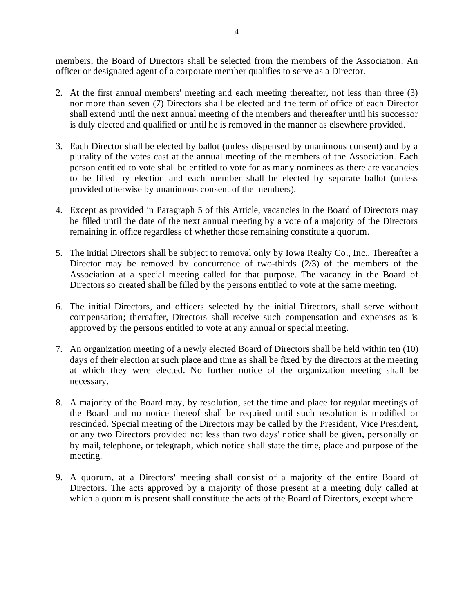members, the Board of Directors shall be selected from the members of the Association. An officer or designated agent of a corporate member qualifies to serve as a Director.

- 2. At the first annual members' meeting and each meeting thereafter, not less than three (3) nor more than seven (7) Directors shall be elected and the term of office of each Director shall extend until the next annual meeting of the members and thereafter until his successor is duly elected and qualified or until he is removed in the manner as elsewhere provided.
- 3. Each Director shall be elected by ballot (unless dispensed by unanimous consent) and by a plurality of the votes cast at the annual meeting of the members of the Association. Each person entitled to vote shall be entitled to vote for as many nominees as there are vacancies to be filled by election and each member shall be elected by separate ballot (unless provided otherwise by unanimous consent of the members).
- 4. Except as provided in Paragraph 5 of this Article, vacancies in the Board of Directors may be filled until the date of the next annual meeting by a vote of a majority of the Directors remaining in office regardless of whether those remaining constitute a quorum.
- 5. The initial Directors shall be subject to removal only by Iowa Realty Co., Inc.. Thereafter a Director may be removed by concurrence of two-thirds (2/3) of the members of the Association at a special meeting called for that purpose. The vacancy in the Board of Directors so created shall be filled by the persons entitled to vote at the same meeting.
- 6. The initial Directors, and officers selected by the initial Directors, shall serve without compensation; thereafter, Directors shall receive such compensation and expenses as is approved by the persons entitled to vote at any annual or special meeting.
- 7. An organization meeting of a newly elected Board of Directors shall be held within ten (10) days of their election at such place and time as shall be fixed by the directors at the meeting at which they were elected. No further notice of the organization meeting shall be necessary.
- 8. A majority of the Board may, by resolution, set the time and place for regular meetings of the Board and no notice thereof shall be required until such resolution is modified or rescinded. Special meeting of the Directors may be called by the President, Vice President, or any two Directors provided not less than two days' notice shall be given, personally or by mail, telephone, or telegraph, which notice shall state the time, place and purpose of the meeting.
- 9. A quorum, at a Directors' meeting shall consist of a majority of the entire Board of Directors. The acts approved by a majority of those present at a meeting duly called at which a quorum is present shall constitute the acts of the Board of Directors, except where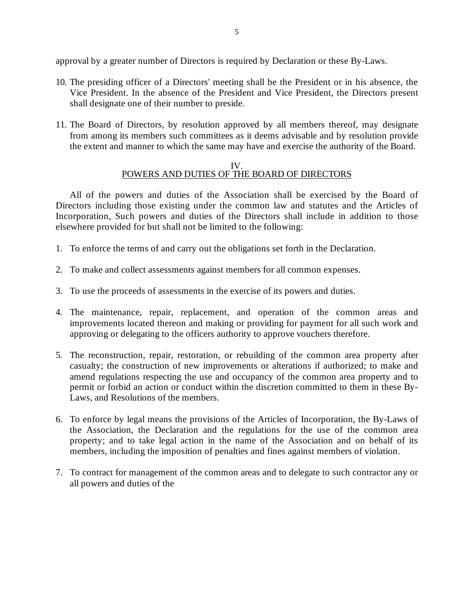approval by a greater number of Directors is required by Declaration or these By-Laws.

- 10. The presiding officer of a Directors' meeting shall be the President or in his absence, the Vice President. In the absence of the President and Vice President, the Directors present shall designate one of their number to preside.
- 11. The Board of Directors, by resolution approved by all members thereof, may designate from among its members such committees as it deems advisable and by resolution provide the extent and manner to which the same may have and exercise the authority of the Board.

#### IV. POWERS AND DUTIES OF THE BOARD OF DIRECTORS

All of the powers and duties of the Association shall be exercised by the Board of Directors including those existing under the common law and statutes and the Articles of Incorporation, Such powers and duties of the Directors shall include in addition to those elsewhere provided for but shall not be limited to the following:

- 1. To enforce the terms of and carry out the obligations set forth in the Declaration.
- 2. To make and collect assessments against members for all common expenses.
- 3. To use the proceeds of assessments in the exercise of its powers and duties.
- 4. The maintenance, repair, replacement, and operation of the common areas and improvements located thereon and making or providing for payment for all such work and approving or delegating to the officers authority to approve vouchers therefore.
- 5. The reconstruction, repair, restoration, or rebuilding of the common area property after casualty; the construction of new improvements or alterations if authorized; to make and amend regulations respecting the use and occupancy of the common area property and to permit or forbid an action or conduct within the discretion committed to them in these By-Laws, and Resolutions of the members.
- 6. To enforce by legal means the provisions of the Articles of Incorporation, the By-Laws of the Association, the Declaration and the regulations for the use of the common area property; and to take legal action in the name of the Association and on behalf of its members, including the imposition of penalties and fines against members of violation.
- 7. To contract for management of the common areas and to delegate to such contractor any or all powers and duties of the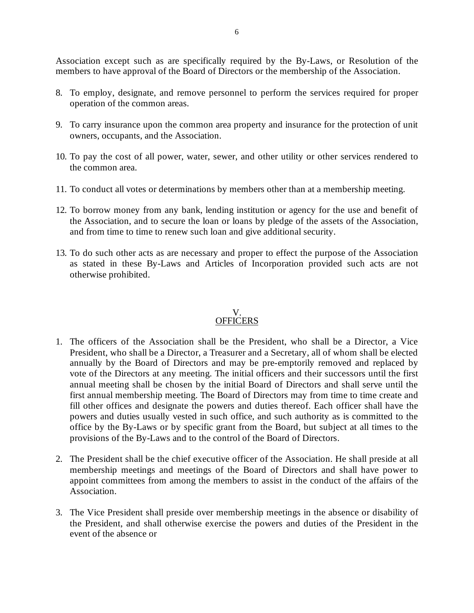Association except such as are specifically required by the By-Laws, or Resolution of the members to have approval of the Board of Directors or the membership of the Association.

- 8. To employ, designate, and remove personnel to perform the services required for proper operation of the common areas.
- 9. To carry insurance upon the common area property and insurance for the protection of unit owners, occupants, and the Association.
- 10. To pay the cost of all power, water, sewer, and other utility or other services rendered to the common area.
- 11. To conduct all votes or determinations by members other than at a membership meeting.
- 12. To borrow money from any bank, lending institution or agency for the use and benefit of the Association, and to secure the loan or loans by pledge of the assets of the Association, and from time to time to renew such loan and give additional security.
- 13. To do such other acts as are necessary and proper to effect the purpose of the Association as stated in these By-Laws and Articles of Incorporation provided such acts are not otherwise prohibited.

### V. **OFFICERS**

- 1. The officers of the Association shall be the President, who shall be a Director, a Vice President, who shall be a Director, a Treasurer and a Secretary, all of whom shall be elected annually by the Board of Directors and may be pre-emptorily removed and replaced by vote of the Directors at any meeting. The initial officers and their successors until the first annual meeting shall be chosen by the initial Board of Directors and shall serve until the first annual membership meeting. The Board of Directors may from time to time create and fill other offices and designate the powers and duties thereof. Each officer shall have the powers and duties usually vested in such office, and such authority as is committed to the office by the By-Laws or by specific grant from the Board, but subject at all times to the provisions of the By-Laws and to the control of the Board of Directors.
- 2. The President shall be the chief executive officer of the Association. He shall preside at all membership meetings and meetings of the Board of Directors and shall have power to appoint committees from among the members to assist in the conduct of the affairs of the Association.
- 3. The Vice President shall preside over membership meetings in the absence or disability of the President, and shall otherwise exercise the powers and duties of the President in the event of the absence or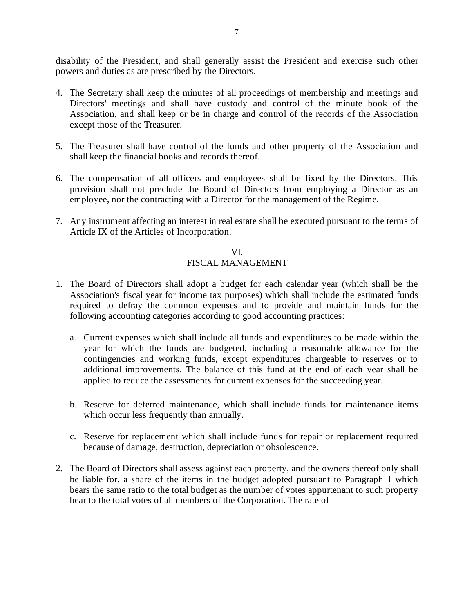disability of the President, and shall generally assist the President and exercise such other powers and duties as are prescribed by the Directors.

- 4. The Secretary shall keep the minutes of all proceedings of membership and meetings and Directors' meetings and shall have custody and control of the minute book of the Association, and shall keep or be in charge and control of the records of the Association except those of the Treasurer.
- 5. The Treasurer shall have control of the funds and other property of the Association and shall keep the financial books and records thereof.
- 6. The compensation of all officers and employees shall be fixed by the Directors. This provision shall not preclude the Board of Directors from employing a Director as an employee, nor the contracting with a Director for the management of the Regime.
- 7. Any instrument affecting an interest in real estate shall be executed pursuant to the terms of Article IX of the Articles of Incorporation.

### VI. FISCAL MANAGEMENT

- 1. The Board of Directors shall adopt a budget for each calendar year (which shall be the Association's fiscal year for income tax purposes) which shall include the estimated funds required to defray the common expenses and to provide and maintain funds for the following accounting categories according to good accounting practices:
	- a. Current expenses which shall include all funds and expenditures to be made within the year for which the funds are budgeted, including a reasonable allowance for the contingencies and working funds, except expenditures chargeable to reserves or to additional improvements. The balance of this fund at the end of each year shall be applied to reduce the assessments for current expenses for the succeeding year.
	- b. Reserve for deferred maintenance, which shall include funds for maintenance items which occur less frequently than annually.
	- c. Reserve for replacement which shall include funds for repair or replacement required because of damage, destruction, depreciation or obsolescence.
- 2. The Board of Directors shall assess against each property, and the owners thereof only shall be liable for, a share of the items in the budget adopted pursuant to Paragraph 1 which bears the same ratio to the total budget as the number of votes appurtenant to such property bear to the total votes of all members of the Corporation. The rate of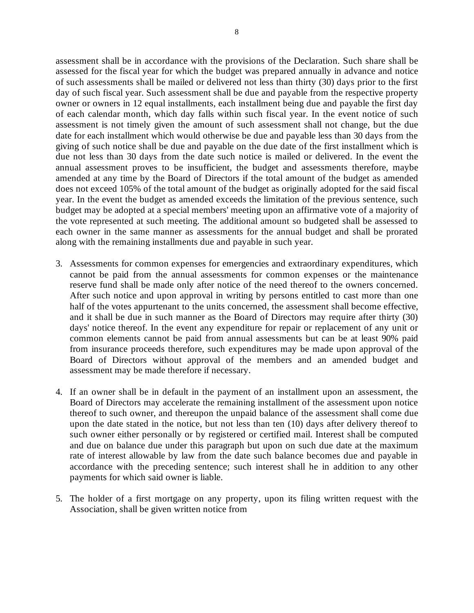assessment shall be in accordance with the provisions of the Declaration. Such share shall be assessed for the fiscal year for which the budget was prepared annually in advance and notice of such assessments shall be mailed or delivered not less than thirty (30) days prior to the first day of such fiscal year. Such assessment shall be due and payable from the respective property owner or owners in 12 equal installments, each installment being due and payable the first day of each calendar month, which day falls within such fiscal year. In the event notice of such assessment is not timely given the amount of such assessment shall not change, but the due date for each installment which would otherwise be due and payable less than 30 days from the giving of such notice shall be due and payable on the due date of the first installment which is due not less than 30 days from the date such notice is mailed or delivered. In the event the annual assessment proves to be insufficient, the budget and assessments therefore, maybe amended at any time by the Board of Directors if the total amount of the budget as amended does not exceed 105% of the total amount of the budget as originally adopted for the said fiscal year. In the event the budget as amended exceeds the limitation of the previous sentence, such budget may be adopted at a special members' meeting upon an affirmative vote of a majority of the vote represented at such meeting. The additional amount so budgeted shall be assessed to each owner in the same manner as assessments for the annual budget and shall be prorated along with the remaining installments due and payable in such year.

- 3. Assessments for common expenses for emergencies and extraordinary expenditures, which cannot be paid from the annual assessments for common expenses or the maintenance reserve fund shall be made only after notice of the need thereof to the owners concerned. After such notice and upon approval in writing by persons entitled to cast more than one half of the votes appurtenant to the units concerned, the assessment shall become effective, and it shall be due in such manner as the Board of Directors may require after thirty (30) days' notice thereof. In the event any expenditure for repair or replacement of any unit or common elements cannot be paid from annual assessments but can be at least 90% paid from insurance proceeds therefore, such expenditures may be made upon approval of the Board of Directors without approval of the members and an amended budget and assessment may be made therefore if necessary.
- 4. If an owner shall be in default in the payment of an installment upon an assessment, the Board of Directors may accelerate the remaining installment of the assessment upon notice thereof to such owner, and thereupon the unpaid balance of the assessment shall come due upon the date stated in the notice, but not less than ten (10) days after delivery thereof to such owner either personally or by registered or certified mail. Interest shall be computed and due on balance due under this paragraph but upon on such due date at the maximum rate of interest allowable by law from the date such balance becomes due and payable in accordance with the preceding sentence; such interest shall he in addition to any other payments for which said owner is liable.
- 5. The holder of a first mortgage on any property, upon its filing written request with the Association, shall be given written notice from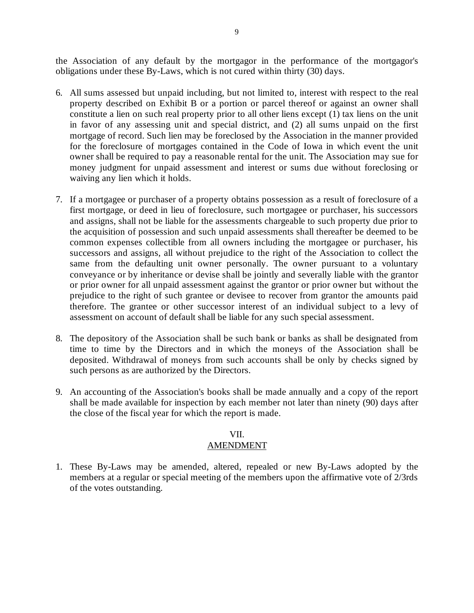the Association of any default by the mortgagor in the performance of the mortgagor's obligations under these By-Laws, which is not cured within thirty (30) days.

- 6. All sums assessed but unpaid including, but not limited to, interest with respect to the real property described on Exhibit B or a portion or parcel thereof or against an owner shall constitute a lien on such real property prior to all other liens except (1) tax liens on the unit in favor of any assessing unit and special district, and (2) all sums unpaid on the first mortgage of record. Such lien may be foreclosed by the Association in the manner provided for the foreclosure of mortgages contained in the Code of Iowa in which event the unit owner shall be required to pay a reasonable rental for the unit. The Association may sue for money judgment for unpaid assessment and interest or sums due without foreclosing or waiving any lien which it holds.
- 7. If a mortgagee or purchaser of a property obtains possession as a result of foreclosure of a first mortgage, or deed in lieu of foreclosure, such mortgagee or purchaser, his successors and assigns, shall not be liable for the assessments chargeable to such property due prior to the acquisition of possession and such unpaid assessments shall thereafter be deemed to be common expenses collectible from all owners including the mortgagee or purchaser, his successors and assigns, all without prejudice to the right of the Association to collect the same from the defaulting unit owner personally. The owner pursuant to a voluntary conveyance or by inheritance or devise shall be jointly and severally liable with the grantor or prior owner for all unpaid assessment against the grantor or prior owner but without the prejudice to the right of such grantee or devisee to recover from grantor the amounts paid therefore. The grantee or other successor interest of an individual subject to a levy of assessment on account of default shall be liable for any such special assessment.
- 8. The depository of the Association shall be such bank or banks as shall be designated from time to time by the Directors and in which the moneys of the Association shall be deposited. Withdrawal of moneys from such accounts shall be only by checks signed by such persons as are authorized by the Directors.
- 9. An accounting of the Association's books shall be made annually and a copy of the report shall be made available for inspection by each member not later than ninety (90) days after the close of the fiscal year for which the report is made.

# VII.

## AMENDMENT

1. These By-Laws may be amended, altered, repealed or new By-Laws adopted by the members at a regular or special meeting of the members upon the affirmative vote of 2/3rds of the votes outstanding.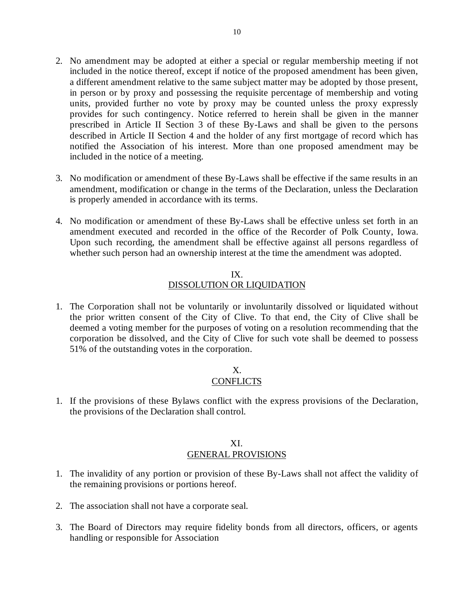- 2. No amendment may be adopted at either a special or regular membership meeting if not included in the notice thereof, except if notice of the proposed amendment has been given, a different amendment relative to the same subject matter may be adopted by those present, in person or by proxy and possessing the requisite percentage of membership and voting units, provided further no vote by proxy may be counted unless the proxy expressly provides for such contingency. Notice referred to herein shall be given in the manner prescribed in Article II Section 3 of these By-Laws and shall be given to the persons described in Article II Section 4 and the holder of any first mortgage of record which has notified the Association of his interest. More than one proposed amendment may be included in the notice of a meeting.
- 3. No modification or amendment of these By-Laws shall be effective if the same results in an amendment, modification or change in the terms of the Declaration, unless the Declaration is properly amended in accordance with its terms.
- 4. No modification or amendment of these By-Laws shall be effective unless set forth in an amendment executed and recorded in the office of the Recorder of Polk County, Iowa. Upon such recording, the amendment shall be effective against all persons regardless of whether such person had an ownership interest at the time the amendment was adopted.

## IX. DISSOLUTION OR LIQUIDATION

1. The Corporation shall not be voluntarily or involuntarily dissolved or liquidated without the prior written consent of the City of Clive. To that end, the City of Clive shall be deemed a voting member for the purposes of voting on a resolution recommending that the corporation be dissolved, and the City of Clive for such vote shall be deemed to possess 51% of the outstanding votes in the corporation.

## X. **CONFLICTS**

1. If the provisions of these Bylaws conflict with the express provisions of the Declaration, the provisions of the Declaration shall control.

## XI. GENERAL PROVISIONS

- 1. The invalidity of any portion or provision of these By-Laws shall not affect the validity of the remaining provisions or portions hereof.
- 2. The association shall not have a corporate seal.
- 3. The Board of Directors may require fidelity bonds from all directors, officers, or agents handling or responsible for Association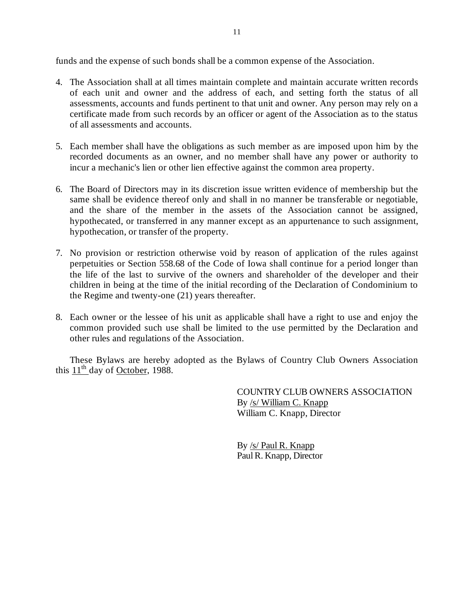funds and the expense of such bonds shall be a common expense of the Association.

- 4. The Association shall at all times maintain complete and maintain accurate written records of each unit and owner and the address of each, and setting forth the status of all assessments, accounts and funds pertinent to that unit and owner. Any person may rely on a certificate made from such records by an officer or agent of the Association as to the status of all assessments and accounts.
- 5. Each member shall have the obligations as such member as are imposed upon him by the recorded documents as an owner, and no member shall have any power or authority to incur a mechanic's lien or other lien effective against the common area property.
- 6. The Board of Directors may in its discretion issue written evidence of membership but the same shall be evidence thereof only and shall in no manner be transferable or negotiable, and the share of the member in the assets of the Association cannot be assigned, hypothecated, or transferred in any manner except as an appurtenance to such assignment, hypothecation, or transfer of the property.
- 7. No provision or restriction otherwise void by reason of application of the rules against perpetuities or Section 558.68 of the Code of Iowa shall continue for a period longer than the life of the last to survive of the owners and shareholder of the developer and their children in being at the time of the initial recording of the Declaration of Condominium to the Regime and twenty-one (21) years thereafter.
- 8. Each owner or the lessee of his unit as applicable shall have a right to use and enjoy the common provided such use shall be limited to the use permitted by the Declaration and other rules and regulations of the Association.

These Bylaws are hereby adopted as the Bylaws of Country Club Owners Association this  $11<sup>th</sup>$  day of October, 1988.

> COUNTRY CLUB OWNERS ASSOCIATION By /s/ William C. Knapp William C. Knapp, Director

By /s/ Paul R. Knapp Paul R. Knapp, Director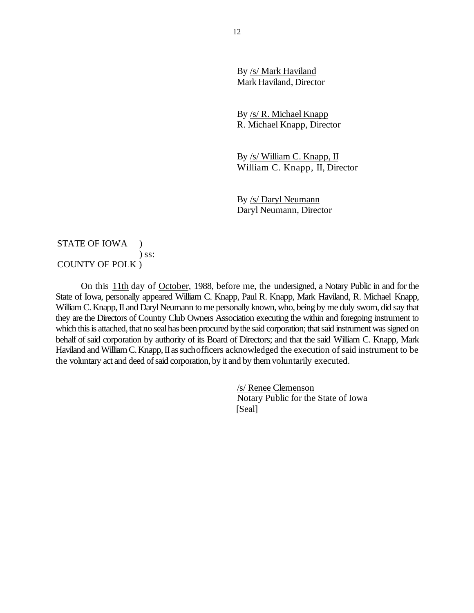By /s/ Mark Haviland Mark Haviland, Director

By /s/ R. Michael Knapp R. Michael Knapp, Director

By /s/ William C. Knapp, II William C. Knapp, II, Director

By /s/ Daryl Neumann Daryl Neumann, Director

## STATE OF IOWA ) ) ss: COUNTY OF POLK )

On this 11th day of October, 1988, before me, the undersigned, a Notary Public in and for the State of Iowa, personally appeared William C. Knapp, Paul R. Knapp, Mark Haviland, R. Michael Knapp, William C. Knapp, II and Daryl Neumann to me personally known, who, being by me duly sworn, did say that they are the Directors of Country Club Owners Association executing the within and foregoing instrument to which this is attached, that no seal has been procured by the said corporation; that said instrument was signed on behalf of said corporation by authority of its Board of Directors; and that the said William C. Knapp, Mark Haviland and William C. Knapp, II as such officers acknowledged the execution of said instrument to be the voluntary act and deed of said corporation, by it and by them voluntarily executed.

> /s/ Renee Clemenson Notary Public for the State of Iowa [Seal]